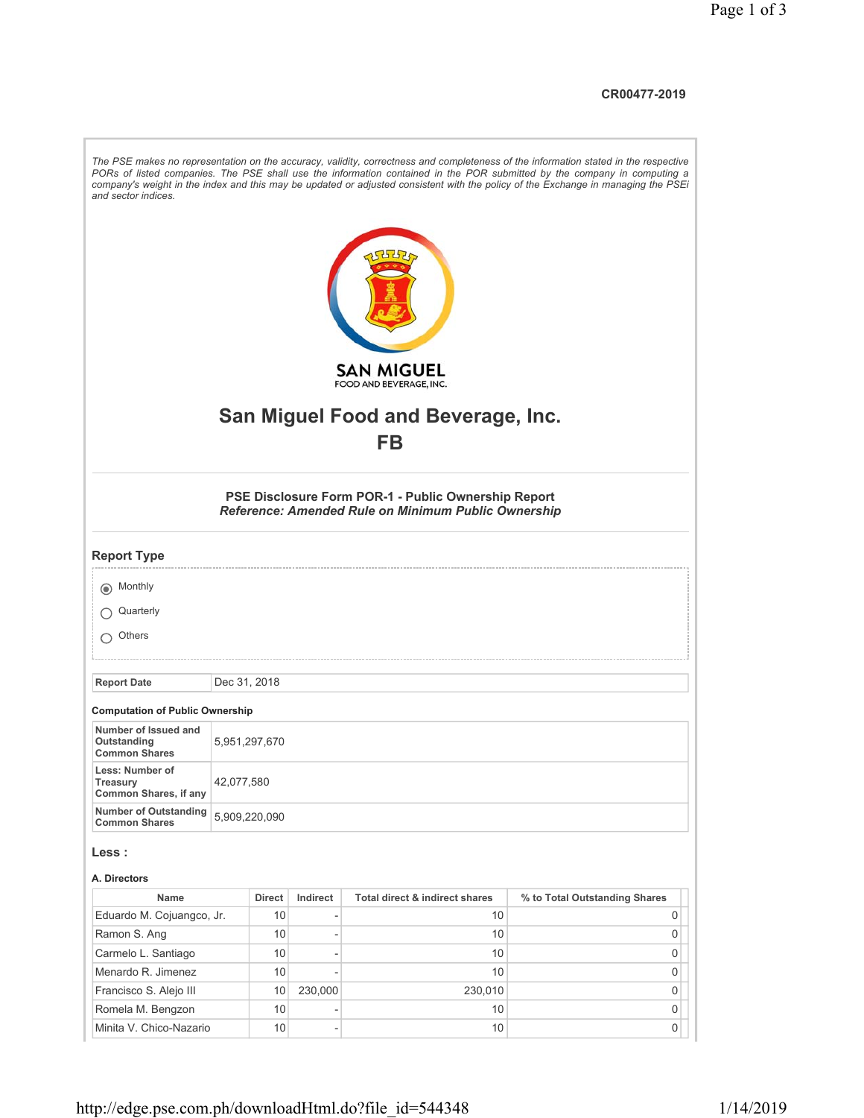## **CR00477-2019**

| and sector indices.                                         |               |                 |                |                                                                                                            | The PSE makes no representation on the accuracy, validity, correctness and completeness of the information stated in the respective<br>PORs of listed companies. The PSE shall use the information contained in the POR submitted by the company in computing a<br>company's weight in the index and this may be updated or adjusted consistent with the policy of the Exchange in managing the PSEi |
|-------------------------------------------------------------|---------------|-----------------|----------------|------------------------------------------------------------------------------------------------------------|------------------------------------------------------------------------------------------------------------------------------------------------------------------------------------------------------------------------------------------------------------------------------------------------------------------------------------------------------------------------------------------------------|
|                                                             |               |                 |                | <b>SAN MIGUEL</b>                                                                                          |                                                                                                                                                                                                                                                                                                                                                                                                      |
|                                                             |               |                 |                | FOOD AND BEVERAGE, INC.                                                                                    |                                                                                                                                                                                                                                                                                                                                                                                                      |
|                                                             |               |                 |                | <b>San Miguel Food and Beverage, Inc.</b>                                                                  |                                                                                                                                                                                                                                                                                                                                                                                                      |
|                                                             |               |                 |                | <b>FB</b>                                                                                                  |                                                                                                                                                                                                                                                                                                                                                                                                      |
|                                                             |               |                 |                |                                                                                                            |                                                                                                                                                                                                                                                                                                                                                                                                      |
|                                                             |               |                 |                | PSE Disclosure Form POR-1 - Public Ownership Report<br>Reference: Amended Rule on Minimum Public Ownership |                                                                                                                                                                                                                                                                                                                                                                                                      |
| <b>Report Type</b>                                          |               |                 |                |                                                                                                            |                                                                                                                                                                                                                                                                                                                                                                                                      |
| (a) Monthly                                                 |               |                 |                |                                                                                                            |                                                                                                                                                                                                                                                                                                                                                                                                      |
| Quarterly                                                   |               |                 |                |                                                                                                            |                                                                                                                                                                                                                                                                                                                                                                                                      |
|                                                             |               |                 |                |                                                                                                            |                                                                                                                                                                                                                                                                                                                                                                                                      |
| Others                                                      |               |                 |                |                                                                                                            |                                                                                                                                                                                                                                                                                                                                                                                                      |
|                                                             |               |                 |                |                                                                                                            |                                                                                                                                                                                                                                                                                                                                                                                                      |
| <b>Report Date</b>                                          | Dec 31, 2018  |                 |                |                                                                                                            |                                                                                                                                                                                                                                                                                                                                                                                                      |
| <b>Computation of Public Ownership</b>                      |               |                 |                |                                                                                                            |                                                                                                                                                                                                                                                                                                                                                                                                      |
| Number of Issued and<br>Outstanding<br><b>Common Shares</b> | 5,951,297,670 |                 |                |                                                                                                            |                                                                                                                                                                                                                                                                                                                                                                                                      |
| Less: Number of<br>Treasury<br>Common Shares, if any        | 42,077,580    |                 |                |                                                                                                            |                                                                                                                                                                                                                                                                                                                                                                                                      |
| <b>Number of Outstanding</b><br><b>Common Shares</b>        | 5,909,220,090 |                 |                |                                                                                                            |                                                                                                                                                                                                                                                                                                                                                                                                      |
| Less :                                                      |               |                 |                |                                                                                                            |                                                                                                                                                                                                                                                                                                                                                                                                      |
| A. Directors                                                |               |                 |                |                                                                                                            |                                                                                                                                                                                                                                                                                                                                                                                                      |
| Name                                                        |               | <b>Direct</b>   | Indirect       | Total direct & indirect shares                                                                             | % to Total Outstanding Shares                                                                                                                                                                                                                                                                                                                                                                        |
| Eduardo M. Cojuangco, Jr.                                   |               | 10              | $\overline{a}$ | 10                                                                                                         | 0                                                                                                                                                                                                                                                                                                                                                                                                    |
| Ramon S. Ang                                                |               | 10              | $\overline{a}$ | 10                                                                                                         | 0                                                                                                                                                                                                                                                                                                                                                                                                    |
| Carmelo L. Santiago                                         |               | 10              | ٠              | 10                                                                                                         | 0                                                                                                                                                                                                                                                                                                                                                                                                    |
| Menardo R. Jimenez                                          |               | 10              | Ĩ.             | 10 <sup>°</sup>                                                                                            | 0                                                                                                                                                                                                                                                                                                                                                                                                    |
| Francisco S. Alejo III                                      |               | 10              | 230,000        | 230,010                                                                                                    | 0                                                                                                                                                                                                                                                                                                                                                                                                    |
| Romela M. Bengzon                                           |               | 10              |                | 10 <sup>°</sup>                                                                                            | 0                                                                                                                                                                                                                                                                                                                                                                                                    |
| Minita V. Chico-Nazario                                     |               | 10 <sup>1</sup> | ÷              | 10                                                                                                         | 0                                                                                                                                                                                                                                                                                                                                                                                                    |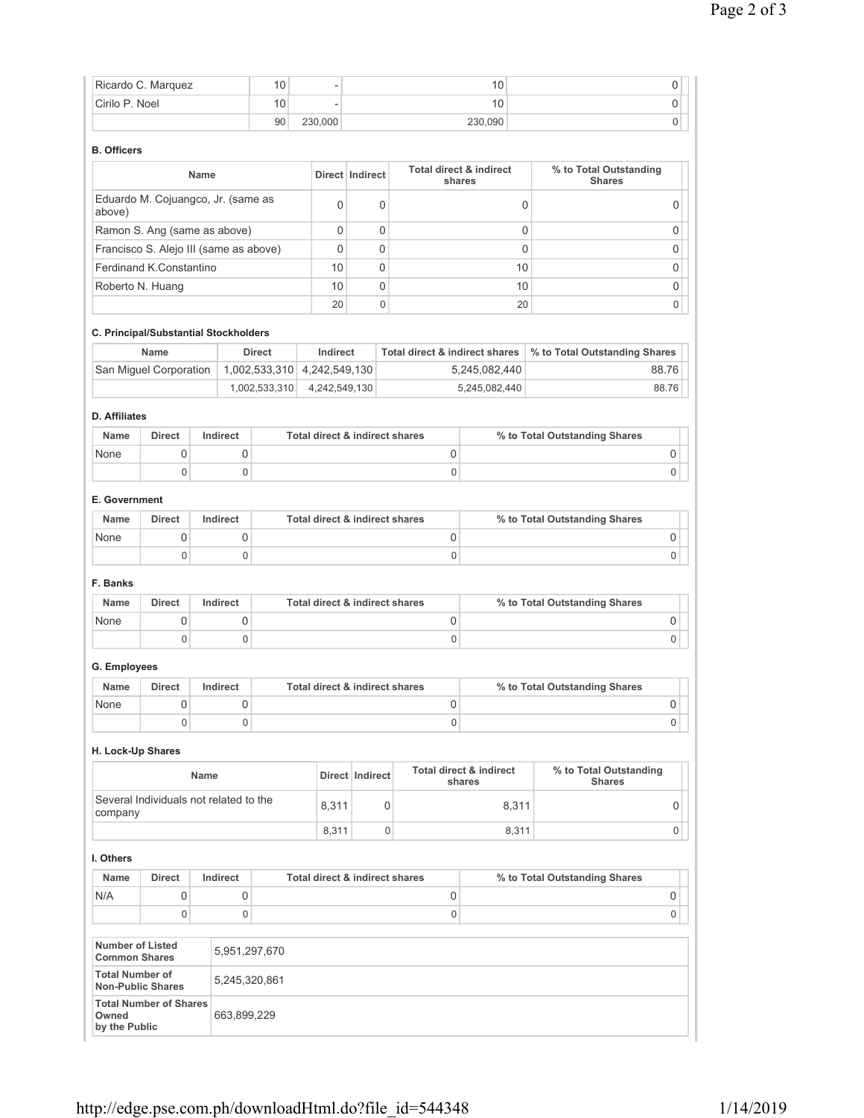|                                                | Ricardo C. Marquez                                        |          | 10                          |                                           |                 |                                | 10                                |                                         | 0                   |
|------------------------------------------------|-----------------------------------------------------------|----------|-----------------------------|-------------------------------------------|-----------------|--------------------------------|-----------------------------------|-----------------------------------------|---------------------|
| Cirilo P. Noel                                 |                                                           |          | 10                          |                                           |                 |                                | 10                                |                                         | 0                   |
|                                                |                                                           |          | 90                          | 230,000                                   |                 |                                | 230,090                           |                                         | 0                   |
| <b>B.</b> Officers                             |                                                           |          |                             |                                           |                 |                                |                                   |                                         |                     |
|                                                |                                                           | Name     |                             |                                           | Direct Indirect |                                | Total direct & indirect<br>shares | % to Total Outstanding<br><b>Shares</b> |                     |
| above)                                         | Eduardo M. Cojuangco, Jr. (same as                        |          |                             | 0                                         |                 | 0                              | 0                                 |                                         | 0                   |
|                                                | Ramon S. Ang (same as above)                              |          |                             | 0                                         |                 | 0                              | 0                                 |                                         | 0                   |
|                                                | Francisco S. Alejo III (same as above)                    |          |                             | 0                                         |                 | 0                              | $\Omega$                          |                                         | 0                   |
|                                                | Ferdinand K.Constantino                                   |          |                             | 10                                        |                 | 0                              | 10                                |                                         | 0                   |
|                                                | Roberto N. Huang                                          |          |                             | 10                                        |                 | $\mathbf 0$                    | 10                                |                                         | 0                   |
|                                                |                                                           |          |                             | 20                                        |                 | 0                              | 20                                |                                         | 0                   |
|                                                | C. Principal/Substantial Stockholders                     |          |                             |                                           |                 |                                |                                   |                                         |                     |
|                                                | <b>Name</b>                                               |          | <b>Direct</b>               | Indirect                                  |                 | Total direct & indirect shares |                                   | % to Total Outstanding Shares           |                     |
|                                                | San Miguel Corporation                                    |          | 1,002,533,310 4,242,549,130 |                                           |                 |                                | 5,245,082,440                     |                                         | 88.76               |
|                                                |                                                           |          | 1,002,533,310               | 4,242,549,130                             |                 |                                | 5,245,082,440                     |                                         | 88.76               |
| <b>D.</b> Affiliates                           |                                                           |          |                             |                                           |                 |                                |                                   |                                         |                     |
| Name                                           | <b>Direct</b>                                             | Indirect |                             | <b>Total direct &amp; indirect shares</b> |                 |                                |                                   | % to Total Outstanding Shares           |                     |
| None                                           | 0                                                         |          | 0                           |                                           |                 | 0                              |                                   |                                         | 0                   |
|                                                | $\Omega$                                                  |          | $\mathbf 0$                 |                                           |                 | $\mathbf 0$                    |                                   |                                         | $\mathbf 0$         |
| E. Government                                  |                                                           |          |                             |                                           |                 |                                |                                   |                                         |                     |
| Name                                           | <b>Direct</b>                                             | Indirect |                             | Total direct & indirect shares            |                 |                                |                                   | % to Total Outstanding Shares           |                     |
| None                                           | 0                                                         |          | 0                           |                                           |                 | 0                              |                                   |                                         | 0                   |
|                                                | 0                                                         |          | $\mathbf 0$                 |                                           |                 | 0                              |                                   |                                         | $\mathbf 0$         |
| F. Banks                                       |                                                           |          |                             |                                           |                 |                                |                                   |                                         |                     |
| Name                                           | <b>Direct</b>                                             | Indirect |                             | Total direct & indirect shares            |                 |                                |                                   | % to Total Outstanding Shares           |                     |
| None                                           | $\mathbf 0$                                               |          | 0                           |                                           |                 | 0                              |                                   |                                         | 0                   |
|                                                | $\Omega$                                                  |          | 0                           |                                           |                 | 0                              |                                   |                                         | 0                   |
| G. Employees                                   |                                                           |          |                             |                                           |                 |                                |                                   |                                         |                     |
| Name                                           | <b>Direct</b>                                             | Indirect |                             | Total direct & indirect shares            |                 |                                |                                   | % to Total Outstanding Shares           |                     |
| None                                           | $\mathsf{O}\xspace$                                       |          | $\mathsf 0$                 |                                           |                 | $\mathsf{O}\xspace$            |                                   |                                         | $\mathsf{O}\xspace$ |
|                                                | 0                                                         |          | 0                           |                                           |                 | 0                              |                                   |                                         | 0                   |
|                                                | H. Lock-Up Shares                                         |          |                             |                                           |                 |                                |                                   |                                         |                     |
|                                                |                                                           | Name     |                             |                                           | Direct Indirect |                                | Total direct & indirect<br>shares | % to Total Outstanding<br><b>Shares</b> |                     |
|                                                | Several Individuals not related to the                    |          |                             | 8,311                                     |                 | 0                              | 8,311                             |                                         | 0                   |
| company                                        |                                                           |          |                             | 8,311                                     |                 | 0                              | 8,311                             |                                         | 0                   |
| I. Others                                      |                                                           |          |                             |                                           |                 |                                |                                   |                                         |                     |
| Name                                           | <b>Direct</b>                                             | Indirect |                             | Total direct & indirect shares            |                 |                                |                                   | % to Total Outstanding Shares           |                     |
| N/A                                            | 0                                                         |          | 0                           |                                           |                 | 0                              |                                   |                                         | 0                   |
|                                                | 0                                                         |          | 0                           |                                           |                 | 0                              |                                   |                                         | $\mathbf 0$         |
| <b>Number of Listed</b>                        |                                                           |          | 5,951,297,670               |                                           |                 |                                |                                   |                                         |                     |
| <b>Common Shares</b><br><b>Total Number of</b> |                                                           |          | 5,245,320,861               |                                           |                 |                                |                                   |                                         |                     |
|                                                | <b>Non-Public Shares</b><br><b>Total Number of Shares</b> |          |                             |                                           |                 |                                |                                   |                                         |                     |
| Owned<br>by the Public                         |                                                           |          | 663,899,229                 |                                           |                 |                                |                                   |                                         |                     |